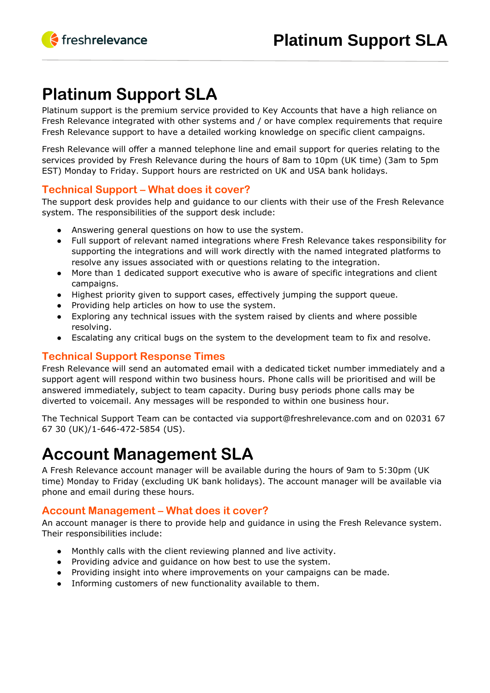# **Platinum Support SLA**

Platinum support is the premium service provided to Key Accounts that have a high reliance on Fresh Relevance integrated with other systems and / or have complex requirements that require Fresh Relevance support to have a detailed working knowledge on specific client campaigns.

Fresh Relevance will offer a manned telephone line and email support for queries relating to the services provided by Fresh Relevance during the hours of 8am to 10pm (UK time) (3am to 5pm EST) Monday to Friday. Support hours are restricted on UK and USA bank holidays.

### **Technical Support – What does it cover?**

The support desk provides help and guidance to our clients with their use of the Fresh Relevance system. The responsibilities of the support desk include:

- Answering general questions on how to use the system.
- Full support of relevant named integrations where Fresh Relevance takes responsibility for supporting the integrations and will work directly with the named integrated platforms to resolve any issues associated with or questions relating to the integration.
- More than 1 dedicated support executive who is aware of specific integrations and client campaigns.
- Highest priority given to support cases, effectively jumping the support queue.
- Providing help articles on how to use the system.
- Exploring any technical issues with the system raised by clients and where possible resolving.
- Escalating any critical bugs on the system to the development team to fix and resolve.

### **Technical Support Response Times**

Fresh Relevance will send an automated email with a dedicated ticket number immediately and a support agent will respond within two business hours. Phone calls will be prioritised and will be answered immediately, subject to team capacity. During busy periods phone calls may be diverted to voicemail. Any messages will be responded to within one business hour.

The Technical Support Team can be contacted via support@freshrelevance.com and on 02031 67 67 30 (UK)/1-646-472-5854 (US).

# **Account Management SLA**

A Fresh Relevance account manager will be available during the hours of 9am to 5:30pm (UK time) Monday to Friday (excluding UK bank holidays). The account manager will be available via phone and email during these hours.

### **Account Management – What does it cover?**

An account manager is there to provide help and guidance in using the Fresh Relevance system. Their responsibilities include:

- Monthly calls with the client reviewing planned and live activity.
- Providing advice and guidance on how best to use the system.
- Providing insight into where improvements on your campaigns can be made.
- Informing customers of new functionality available to them.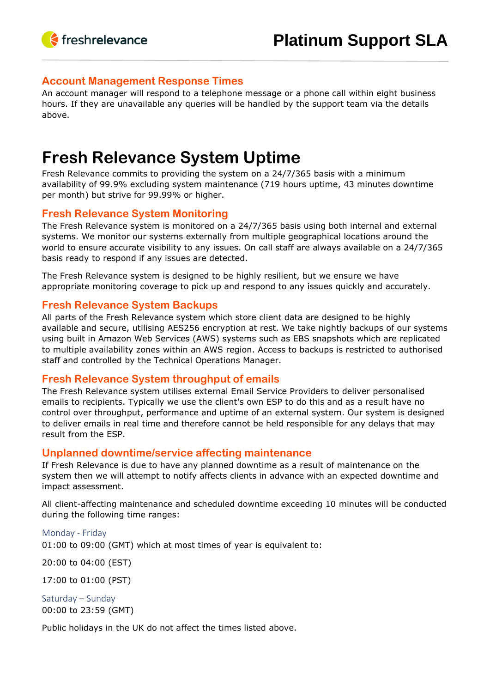

#### **Account Management Response Times**

An account manager will respond to a telephone message or a phone call within eight business hours. If they are unavailable any queries will be handled by the support team via the details above.

## **Fresh Relevance System Uptime**

Fresh Relevance commits to providing the system on a 24/7/365 basis with a minimum availability of 99.9% excluding system maintenance (719 hours uptime, 43 minutes downtime per month) but strive for 99.99% or higher.

#### **Fresh Relevance System Monitoring**

The Fresh Relevance system is monitored on a 24/7/365 basis using both internal and external systems. We monitor our systems externally from multiple geographical locations around the world to ensure accurate visibility to any issues. On call staff are always available on a 24/7/365 basis ready to respond if any issues are detected.

The Fresh Relevance system is designed to be highly resilient, but we ensure we have appropriate monitoring coverage to pick up and respond to any issues quickly and accurately.

#### **Fresh Relevance System Backups**

All parts of the Fresh Relevance system which store client data are designed to be highly available and secure, utilising AES256 encryption at rest. We take nightly backups of our systems using built in Amazon Web Services (AWS) systems such as EBS snapshots which are replicated to multiple availability zones within an AWS region. Access to backups is restricted to authorised staff and controlled by the Technical Operations Manager.

#### **Fresh Relevance System throughput of emails**

The Fresh Relevance system utilises external Email Service Providers to deliver personalised emails to recipients. Typically we use the client's own ESP to do this and as a result have no control over throughput, performance and uptime of an external system. Our system is designed to deliver emails in real time and therefore cannot be held responsible for any delays that may result from the ESP.

#### **Unplanned downtime/service affecting maintenance**

If Fresh Relevance is due to have any planned downtime as a result of maintenance on the system then we will attempt to notify affects clients in advance with an expected downtime and impact assessment.

All client-affecting maintenance and scheduled downtime exceeding 10 minutes will be conducted during the following time ranges:

#### Monday - Friday

01:00 to 09:00 (GMT) which at most times of year is equivalent to:

20:00 to 04:00 (EST)

17:00 to 01:00 (PST)

Saturday – Sunday 00:00 to 23:59 (GMT)

Public holidays in the UK do not affect the times listed above.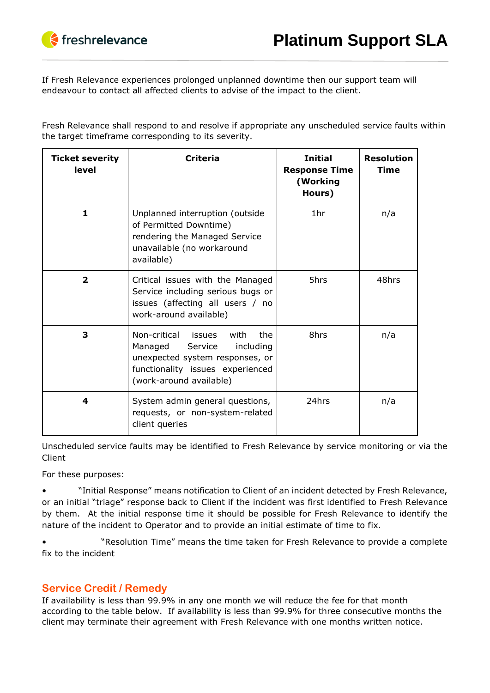If Fresh Relevance experiences prolonged unplanned downtime then our support team will endeavour to contact all affected clients to advise of the impact to the client.

Fresh Relevance shall respond to and resolve if appropriate any unscheduled service faults within the target timeframe corresponding to its severity.

| <b>Ticket severity</b><br>level | <b>Criteria</b>                                                                                                                                                      | <b>Initial</b><br><b>Response Time</b><br>(Working<br>Hours) | <b>Resolution</b><br><b>Time</b> |
|---------------------------------|----------------------------------------------------------------------------------------------------------------------------------------------------------------------|--------------------------------------------------------------|----------------------------------|
| 1                               | Unplanned interruption (outside<br>of Permitted Downtime)<br>rendering the Managed Service<br>unavailable (no workaround<br>available)                               | 1 <sub>hr</sub>                                              | n/a                              |
| $\overline{\mathbf{2}}$         | Critical issues with the Managed<br>Service including serious bugs or<br>issues (affecting all users / no<br>work-around available)                                  | 5hrs                                                         | 48hrs                            |
| 3                               | Non-critical issues with<br>the<br>Managed<br>Service<br>including<br>unexpected system responses, or<br>functionality issues experienced<br>(work-around available) | 8hrs                                                         | n/a                              |
| 4                               | System admin general questions,<br>requests, or non-system-related<br>client queries                                                                                 | 24hrs                                                        | n/a                              |

Unscheduled service faults may be identified to Fresh Relevance by service monitoring or via the Client

For these purposes:

• "Initial Response" means notification to Client of an incident detected by Fresh Relevance, or an initial "triage" response back to Client if the incident was first identified to Fresh Relevance by them. At the initial response time it should be possible for Fresh Relevance to identify the nature of the incident to Operator and to provide an initial estimate of time to fix.

• "Resolution Time" means the time taken for Fresh Relevance to provide a complete fix to the incident

### **Service Credit / Remedy**

If availability is less than 99.9% in any one month we will reduce the fee for that month according to the table below. If availability is less than 99.9% for three consecutive months the client may terminate their agreement with Fresh Relevance with one months written notice.